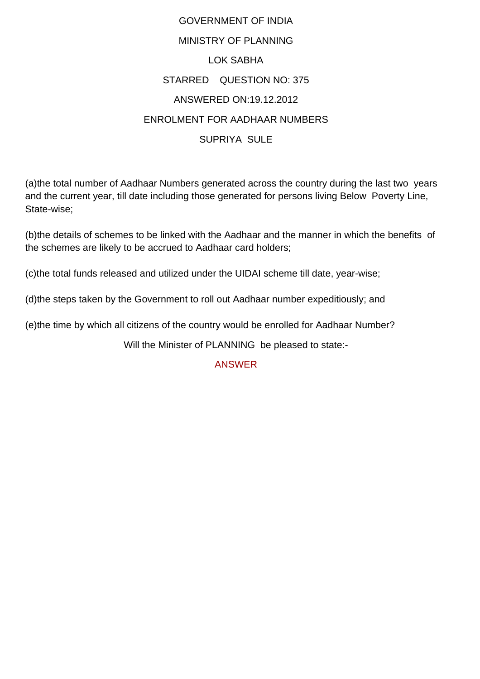## GOVERNMENT OF INDIA MINISTRY OF PLANNING LOK SABHA STARRED QUESTION NO: 375 ANSWERED ON:19.12.2012 ENROLMENT FOR AADHAAR NUMBERS SUPRIYA SULE

(a)the total number of Aadhaar Numbers generated across the country during the last two years and the current year, till date including those generated for persons living Below Poverty Line, State-wise;

(b)the details of schemes to be linked with the Aadhaar and the manner in which the benefits of the schemes are likely to be accrued to Aadhaar card holders;

(c)the total funds released and utilized under the UIDAI scheme till date, year-wise;

(d)the steps taken by the Government to roll out Aadhaar number expeditiously; and

(e)the time by which all citizens of the country would be enrolled for Aadhaar Number?

Will the Minister of PLANNING be pleased to state:-

## ANSWER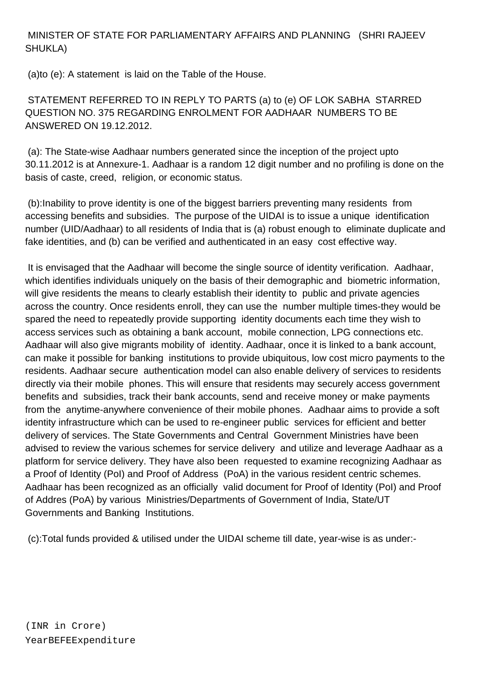## MINISTER OF STATE FOR PARLIAMENTARY AFFAIRS AND PLANNING (SHRI RAJEEV SHUKLA)

(a)to (e): A statement is laid on the Table of the House.

 STATEMENT REFERRED TO IN REPLY TO PARTS (a) to (e) OF LOK SABHA STARRED QUESTION NO. 375 REGARDING ENROLMENT FOR AADHAAR NUMBERS TO BE ANSWERED ON 19.12.2012.

 (a): The State-wise Aadhaar numbers generated since the inception of the project upto 30.11.2012 is at Annexure-1. Aadhaar is a random 12 digit number and no profiling is done on the basis of caste, creed, religion, or economic status.

 (b):Inability to prove identity is one of the biggest barriers preventing many residents from accessing benefits and subsidies. The purpose of the UIDAI is to issue a unique identification number (UID/Aadhaar) to all residents of India that is (a) robust enough to eliminate duplicate and fake identities, and (b) can be verified and authenticated in an easy cost effective way.

 It is envisaged that the Aadhaar will become the single source of identity verification. Aadhaar, which identifies individuals uniquely on the basis of their demographic and biometric information, will give residents the means to clearly establish their identity to public and private agencies across the country. Once residents enroll, they can use the number multiple times-they would be spared the need to repeatedly provide supporting identity documents each time they wish to access services such as obtaining a bank account, mobile connection, LPG connections etc. Aadhaar will also give migrants mobility of identity. Aadhaar, once it is linked to a bank account, can make it possible for banking institutions to provide ubiquitous, low cost micro payments to the residents. Aadhaar secure authentication model can also enable delivery of services to residents directly via their mobile phones. This will ensure that residents may securely access government benefits and subsidies, track their bank accounts, send and receive money or make payments from the anytime-anywhere convenience of their mobile phones. Aadhaar aims to provide a soft identity infrastructure which can be used to re-engineer public services for efficient and better delivery of services. The State Governments and Central Government Ministries have been advised to review the various schemes for service delivery and utilize and leverage Aadhaar as a platform for service delivery. They have also been requested to examine recognizing Aadhaar as a Proof of Identity (PoI) and Proof of Address (PoA) in the various resident centric schemes. Aadhaar has been recognized as an officially valid document for Proof of Identity (PoI) and Proof of Addres (PoA) by various Ministries/Departments of Government of India, State/UT Governments and Banking Institutions.

(c):Total funds provided & utilised under the UIDAI scheme till date, year-wise is as under:-